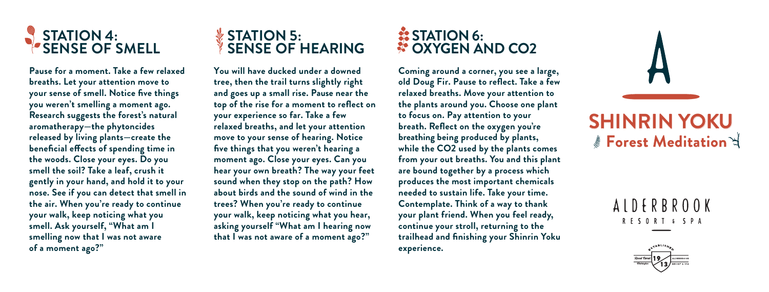

**Pause for a moment. Take a few relaxed breaths. Let your attention move to your sense of smell. Notice five things you weren't smelling a moment ago. Research suggests the forest's natural aromatherapy—the phytoncides released by living plants—create the beneficial effects of spending time in the woods. Close your eyes. Do you smell the soil? Take a leaf, crush it gently in your hand, and hold it to your nose. See if you can detect that smell in the air. When you're ready to continue your walk, keep noticing what you smell. Ask yourself, "What am I smelling now that I was not aware of a moment ago?"**

## **STATION 5: SENSE OF HEARING**

**You will have ducked under a downed tree, then the trail turns slightly right and goes up a small rise. Pause near the top of the rise for a moment to reflect on your experience so far. Take a few relaxed breaths, and let your attention move to your sense of hearing. Notice five things that you weren't hearing a moment ago. Close your eyes. Can you hear your own breath? The way your feet sound when they stop on the path? How about birds and the sound of wind in the trees? When you're ready to continue your walk, keep noticing what you hear, asking yourself "What am I hearing now that I was not aware of a moment ago?"**

## **STATION 6: COXYGEN AND CO2**

**Coming around a corner, you see a large, old Doug Fir. Pause to reflect. Take a few relaxed breaths. Move your attention to the plants around you. Choose one plant to focus on. Pay attention to your breath. Reflect on the oxygen you're breathing being produced by plants, while the CO2 used by the plants comes from your out breaths. You and this plant are bound together by a process which produces the most important chemicals needed to sustain life. Take your time. Contemplate. Think of a way to thank your plant friend. When you feel ready, continue your stroll, returning to the trailhead and finishing your Shinrin Yoku experience.**



## ALDERBROOK RESORT & SPA